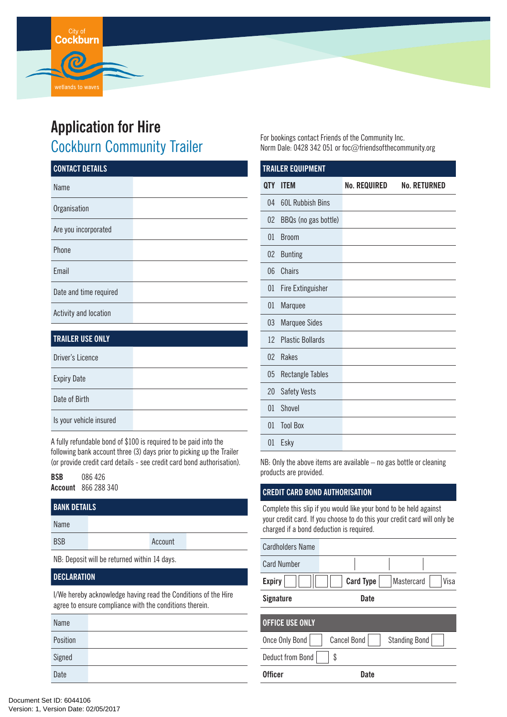# **Application for Hire**

**Cockburn** 

# Cockburn Community Trailer

| <b>TRAILER USE ONLY</b> |  |
|-------------------------|--|
| Driver's Licence        |  |
| <b>Expiry Date</b>      |  |
| Date of Birth           |  |
| Is your vehicle insured |  |

A fully refundable bond of \$100 is required to be paid into the following bank account three (3) days prior to picking up the Trailer (or provide credit card details - see credit card bond authorisation).

**BSB** 086 426 **Account** 866 288 340

| <b>BANK DETAILS</b>                          |  |         |  |
|----------------------------------------------|--|---------|--|
| Name                                         |  |         |  |
| <b>BSB</b>                                   |  | Account |  |
| NB: Deposit will be returned within 14 days. |  |         |  |
| <b>DECLARATION</b>                           |  |         |  |

I/We hereby acknowledge having read the Conditions of the Hire agree to ensure compliance with the conditions therein.

| Name     |  |
|----------|--|
| Position |  |
| Signed   |  |
| Date     |  |

For bookings contact Friends of the Community Inc. Norm Dale: 0428 342 051 or foc@friendsofthecommunity.org

| <b>TRAILER EQUIPMENT</b> |                          |                     |                     |  |
|--------------------------|--------------------------|---------------------|---------------------|--|
| <b>QTY</b>               | <b>ITEM</b>              | <b>No. REQUIRED</b> | <b>No. RETURNED</b> |  |
| 04                       | <b>60L Rubbish Bins</b>  |                     |                     |  |
| 02                       | BBQs (no gas bottle)     |                     |                     |  |
| 01                       | <b>Broom</b>             |                     |                     |  |
| 02                       | <b>Bunting</b>           |                     |                     |  |
| 06                       | Chairs                   |                     |                     |  |
| 01                       | <b>Fire Extinguisher</b> |                     |                     |  |
| 01                       | Marquee                  |                     |                     |  |
| 03                       | <b>Marquee Sides</b>     |                     |                     |  |
| 12                       | <b>Plastic Bollards</b>  |                     |                     |  |
| 0 <sup>2</sup>           | Rakes                    |                     |                     |  |
| 05                       | <b>Rectangle Tables</b>  |                     |                     |  |
| 20                       | <b>Safety Vests</b>      |                     |                     |  |
| 01                       | Shovel                   |                     |                     |  |
| 01                       | <b>Tool Box</b>          |                     |                     |  |
| 01                       | Esky                     |                     |                     |  |

NB: Only the above items are available – no gas bottle or cleaning products are provided.

## **CREDIT CARD BOND AUTHORISATION**

Complete this slip if you would like your bond to be held against your credit card. If you choose to do this your credit card will only be charged if a bond deduction is required.

| <b>Cardholders Name</b> |                    |                      |
|-------------------------|--------------------|----------------------|
| <b>Card Number</b>      |                    |                      |
| <b>Expiry</b>           | <b>Card Type</b>   | Visa<br>Mastercard   |
| <b>Signature</b>        | Date               |                      |
| <b>OFFICE USE ONLY</b>  |                    |                      |
|                         |                    |                      |
| Once Only Bond          | <b>Cancel Bond</b> | <b>Standing Bond</b> |
| Deduct from Bond        | \$                 |                      |
| <b>Officer</b>          | <b>Date</b>        |                      |
|                         |                    |                      |